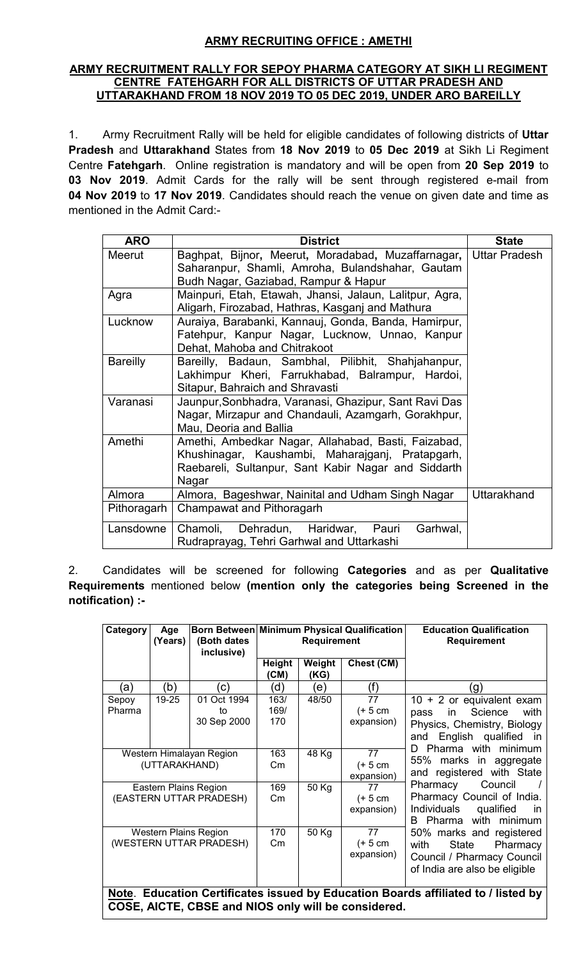# **ARMY RECRUITING OFFICE : AMETHI**

#### **ARMY RECRUITMENT RALLY FOR SEPOY PHARMA CATEGORY AT SIKH LI REGIMENT CENTRE FATEHGARH FOR ALL DISTRICTS OF UTTAR PRADESH AND UTTARAKHAND FROM 18 NOV 2019 TO 05 DEC 2019, UNDER ARO BAREILLY**

1. Army Recruitment Rally will be held for eligible candidates of following districts of **Uttar Pradesh** and **Uttarakhand** States from **18 Nov 2019** to **05 Dec 2019** at Sikh Li Regiment Centre **Fatehgarh**. Online registration is mandatory and will be open from **20 Sep 2019** to **03 Nov 2019**. Admit Cards for the rally will be sent through registered e-mail from **04 Nov 2019** to **17 Nov 2019**. Candidates should reach the venue on given date and time as mentioned in the Admit Card:-

| <b>ARO</b>      | <b>District</b>                                         | <b>State</b>         |
|-----------------|---------------------------------------------------------|----------------------|
| Meerut          | Baghpat, Bijnor, Meerut, Moradabad, Muzaffarnagar,      | <b>Uttar Pradesh</b> |
|                 | Saharanpur, Shamli, Amroha, Bulandshahar, Gautam        |                      |
|                 | Budh Nagar, Gaziabad, Rampur & Hapur                    |                      |
| Agra            | Mainpuri, Etah, Etawah, Jhansi, Jalaun, Lalitpur, Agra, |                      |
|                 | Aligarh, Firozabad, Hathras, Kasganj and Mathura        |                      |
| Lucknow         | Auraiya, Barabanki, Kannauj, Gonda, Banda, Hamirpur,    |                      |
|                 | Fatehpur, Kanpur Nagar, Lucknow, Unnao, Kanpur          |                      |
|                 | Dehat, Mahoba and Chitrakoot                            |                      |
| <b>Bareilly</b> | Bareilly, Badaun, Sambhal, Pilibhit, Shahjahanpur,      |                      |
|                 | Lakhimpur Kheri, Farrukhabad, Balrampur, Hardoi,        |                      |
|                 | Sitapur, Bahraich and Shravasti                         |                      |
| Varanasi        | Jaunpur, Sonbhadra, Varanasi, Ghazipur, Sant Ravi Das   |                      |
|                 | Nagar, Mirzapur and Chandauli, Azamgarh, Gorakhpur,     |                      |
|                 | Mau, Deoria and Ballia                                  |                      |
| Amethi          | Amethi, Ambedkar Nagar, Allahabad, Basti, Faizabad,     |                      |
|                 | Khushinagar, Kaushambi, Maharajganj, Pratapgarh,        |                      |
|                 | Raebareli, Sultanpur, Sant Kabir Nagar and Siddarth     |                      |
|                 | Nagar                                                   |                      |
| Almora          | Almora, Bageshwar, Nainital and Udham Singh Nagar       | Uttarakhand          |
| Pithoragarh     | Champawat and Pithoragarh                               |                      |
| Lansdowne       | Chamoli, Dehradun, Haridwar,<br>Garhwal,<br>Pauri       |                      |
|                 | Rudraprayag, Tehri Garhwal and Uttarkashi               |                      |

2. Candidates will be screened for following **Categories** and as per **Qualitative Requirements** mentioned below **(mention only the categories being Screened in the notification) :-**

| Age<br>(Years)                                          | (Both dates<br>inclusive)        | Born Between Minimum Physical Qualification<br>Requirement |                      |                                             | <b>Education Qualification</b><br><b>Requirement</b>                                                                                                                                                          |
|---------------------------------------------------------|----------------------------------|------------------------------------------------------------|----------------------|---------------------------------------------|---------------------------------------------------------------------------------------------------------------------------------------------------------------------------------------------------------------|
|                                                         |                                  | Height<br>(CM)                                             | Weight<br>(KG)       | Chest (CM)                                  |                                                                                                                                                                                                               |
| (b)                                                     | (c)                              | (d)                                                        | (e)                  | (f)                                         | (g)                                                                                                                                                                                                           |
| 19-25                                                   | 01 Oct 1994<br>to<br>30 Sep 2000 | 163/<br>169/<br>170                                        | 48/50                | $\overline{77}$<br>$(+ 5 cm)$<br>expansion) | $10 + 2$ or equivalent exam<br>Science<br>in<br>with<br>pass<br>Physics, Chemistry, Biology<br>English qualified in<br>and                                                                                    |
| Western Himalayan Region<br>(UTTARAKHAND)               |                                  | 163<br>$\mathsf{Cm}$                                       | 48 Kg                | 77<br>$(+ 5 cm)$<br>expansion)              | Pharma with minimum<br>D<br>marks in aggregate<br>55%<br>and registered with State<br>Council<br>Pharmacy<br>Pharmacy Council of India.<br>Individuals<br>qualified<br>in.<br><b>B</b> Pharma<br>with minimum |
| Eastern Plains Region<br>(EASTERN UTTAR PRADESH)        |                                  | 169<br>$\mathsf{Cm}$                                       | 50 Kg                | 77<br>$(+ 5 cm)$<br>expansion)              |                                                                                                                                                                                                               |
| <b>Western Plains Region</b><br>(WESTERN UTTAR PRADESH) |                                  |                                                            | 50 Kg                | 77<br>$(+ 5 cm)$<br>expansion)              | 50% marks and registered<br>with<br>State<br>Pharmacy<br>Council / Pharmacy Council<br>of India are also be eligible                                                                                          |
|                                                         |                                  |                                                            | 170<br>$\mathsf{Cm}$ |                                             | Note. Education Certificates issued by Education Boards affiliated to / listed by                                                                                                                             |

**COSE, AICTE, CBSE and NIOS only will be considered.**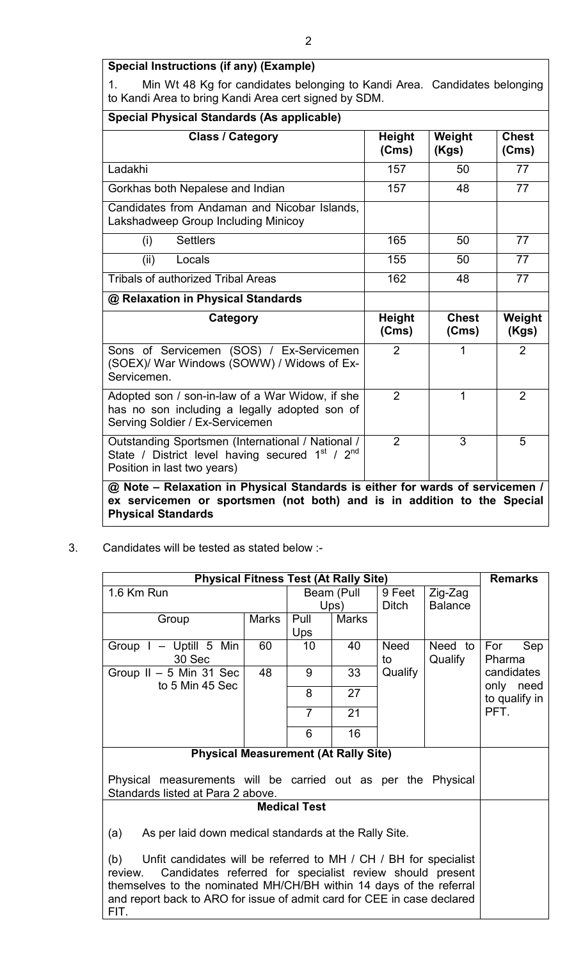# **Special Instructions (if any) (Example)**

1. Min Wt 48 Kg for candidates belonging to Kandi Area. Candidates belonging to Kandi Area to bring Kandi Area cert signed by SDM.

| <b>Special Physical Standards (As applicable)</b>                                                                                                                                     |                        |                       |                       |  |  |  |
|---------------------------------------------------------------------------------------------------------------------------------------------------------------------------------------|------------------------|-----------------------|-----------------------|--|--|--|
| <b>Class / Category</b>                                                                                                                                                               | <b>Height</b><br>(Cms) | Weight<br>(Kgs)       | <b>Chest</b><br>(Cms) |  |  |  |
| Ladakhi                                                                                                                                                                               | 157                    | 50                    | 77                    |  |  |  |
| Gorkhas both Nepalese and Indian                                                                                                                                                      | 157                    | 48                    | 77                    |  |  |  |
| Candidates from Andaman and Nicobar Islands,<br>Lakshadweep Group Including Minicoy                                                                                                   |                        |                       |                       |  |  |  |
| <b>Settlers</b><br>(i)                                                                                                                                                                | 165                    | 50                    | 77                    |  |  |  |
| (ii)<br>Locals                                                                                                                                                                        | 155                    | 50                    | 77                    |  |  |  |
| <b>Tribals of authorized Tribal Areas</b>                                                                                                                                             | 162                    | 48                    | 77                    |  |  |  |
| @ Relaxation in Physical Standards                                                                                                                                                    |                        |                       |                       |  |  |  |
| Category                                                                                                                                                                              | <b>Height</b><br>(Cms) | <b>Chest</b><br>(Cms) | Weight<br>(Kgs)       |  |  |  |
| Sons of Servicemen (SOS) / Ex-Servicemen<br>(SOEX)/ War Windows (SOWW) / Widows of Ex-<br>Servicemen.                                                                                 | $\overline{2}$         | 1                     | $\overline{2}$        |  |  |  |
| Adopted son / son-in-law of a War Widow, if she<br>has no son including a legally adopted son of<br>Serving Soldier / Ex-Servicemen                                                   | $\overline{2}$         | 1                     | $\overline{2}$        |  |  |  |
| Outstanding Sportsmen (International / National /<br>State / District level having secured 1 <sup>st</sup> / 2 <sup>nd</sup><br>Position in last two years)                           | $\overline{2}$         | 3                     | 5                     |  |  |  |
| @ Note - Relaxation in Physical Standards is either for wards of servicemen /<br>ex servicemen or sportsmen (not both) and is in addition to the Special<br><b>Physical Standards</b> |                        |                       |                       |  |  |  |

3. Candidates will be tested as stated below :-

| <b>Physical Fitness Test (At Rally Site)</b>                                                                                                                                                                                                                                                     |              |                |              |                   |                    | <b>Remarks</b>          |
|--------------------------------------------------------------------------------------------------------------------------------------------------------------------------------------------------------------------------------------------------------------------------------------------------|--------------|----------------|--------------|-------------------|--------------------|-------------------------|
| 1.6 Km Run                                                                                                                                                                                                                                                                                       | Beam (Pull   |                | 9 Feet       | Zig-Zag           |                    |                         |
|                                                                                                                                                                                                                                                                                                  |              | Ups)           |              | <b>Ditch</b>      | <b>Balance</b>     |                         |
| Group                                                                                                                                                                                                                                                                                            | <b>Marks</b> | Pull           | <b>Marks</b> |                   |                    |                         |
|                                                                                                                                                                                                                                                                                                  |              | Ups            |              |                   |                    |                         |
| Group $I - Uptill 5$ Min<br>30 Sec                                                                                                                                                                                                                                                               | 60           | 10             | 40           | <b>Need</b><br>to | Need to<br>Qualify | For<br>Sep<br>Pharma    |
| Group $II - 5$ Min 31 Sec<br>to 5 Min 45 Sec                                                                                                                                                                                                                                                     | 48           | 9              | 33           | Qualify           |                    | candidates<br>only need |
|                                                                                                                                                                                                                                                                                                  |              | 8              | 27           |                   |                    | to qualify in           |
|                                                                                                                                                                                                                                                                                                  |              | $\overline{7}$ | 21           |                   |                    | PFT.                    |
|                                                                                                                                                                                                                                                                                                  |              | 6              | 16           |                   |                    |                         |
| <b>Physical Measurement (At Rally Site)</b>                                                                                                                                                                                                                                                      |              |                |              |                   |                    |                         |
| Physical measurements will be carried out as per the Physical<br>Standards listed at Para 2 above.                                                                                                                                                                                               |              |                |              |                   |                    |                         |
| <b>Medical Test</b>                                                                                                                                                                                                                                                                              |              |                |              |                   |                    |                         |
| (a)<br>As per laid down medical standards at the Rally Site.                                                                                                                                                                                                                                     |              |                |              |                   |                    |                         |
| Unfit candidates will be referred to MH / CH / BH for specialist<br>(b)<br>Candidates referred for specialist review should present<br>review.<br>themselves to the nominated MH/CH/BH within 14 days of the referral<br>and report back to ARO for issue of admit card for CEE in case declared |              |                |              |                   |                    |                         |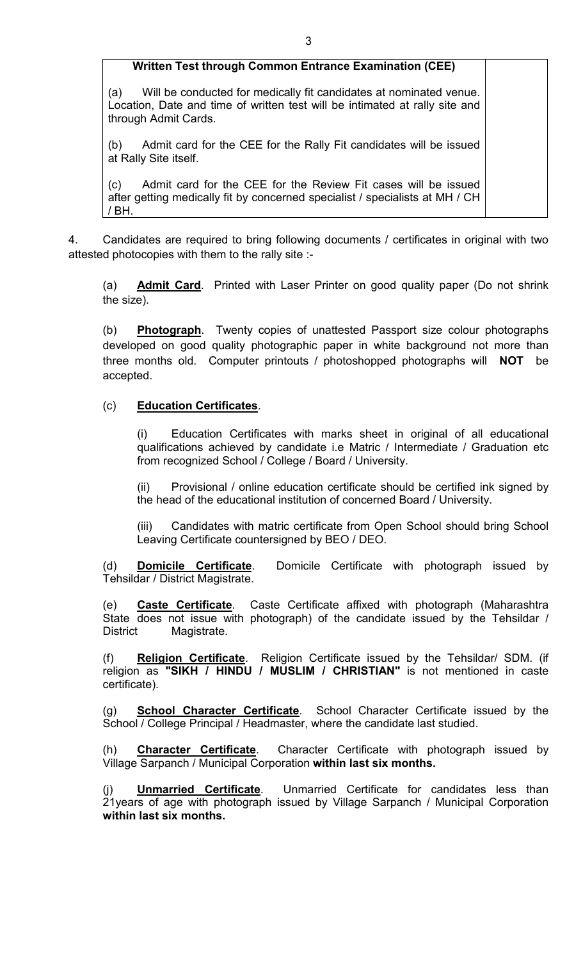#### **Written Test through Common Entrance Examination (CEE)**

(a) Will be conducted for medically fit candidates at nominated venue. Location, Date and time of written test will be intimated at rally site and through Admit Cards.

(b) Admit card for the CEE for the Rally Fit candidates will be issued at Rally Site itself.

(c) Admit card for the CEE for the Review Fit cases will be issued after getting medically fit by concerned specialist / specialists at MH / CH / BH.

4. Candidates are required to bring following documents / certificates in original with two attested photocopies with them to the rally site :-

(a) **Admit Card**. Printed with Laser Printer on good quality paper (Do not shrink the size).

(b) **Photograph**. Twenty copies of unattested Passport size colour photographs developed on good quality photographic paper in white background not more than three months old. Computer printouts / photoshopped photographs will **NOT** be accepted.

#### (c) **Education Certificates**.

(i) Education Certificates with marks sheet in original of all educational qualifications achieved by candidate i.e Matric / Intermediate / Graduation etc from recognized School / College / Board / University.

(ii) Provisional / online education certificate should be certified ink signed by the head of the educational institution of concerned Board / University.

(iii) Candidates with matric certificate from Open School should bring School Leaving Certificate countersigned by BEO / DEO.

(d) **Domicile Certificate**. Domicile Certificate with photograph issued by Tehsildar / District Magistrate.

(e) **Caste Certificate**. Caste Certificate affixed with photograph (Maharashtra State does not issue with photograph) of the candidate issued by the Tehsildar / District Magistrate.

(f) **Religion Certificate**. Religion Certificate issued by the Tehsildar/ SDM. (if religion as **"SIKH / HINDU / MUSLIM / CHRISTIAN"** is not mentioned in caste certificate).

(g) **School Character Certificate**. School Character Certificate issued by the School / College Principal / Headmaster, where the candidate last studied.

(h) **Character Certificate**. Character Certificate with photograph issued by Village Sarpanch / Municipal Corporation **within last six months.**

(j) **Unmarried Certificate**. Unmarried Certificate for candidates less than 21years of age with photograph issued by Village Sarpanch / Municipal Corporation **within last six months.**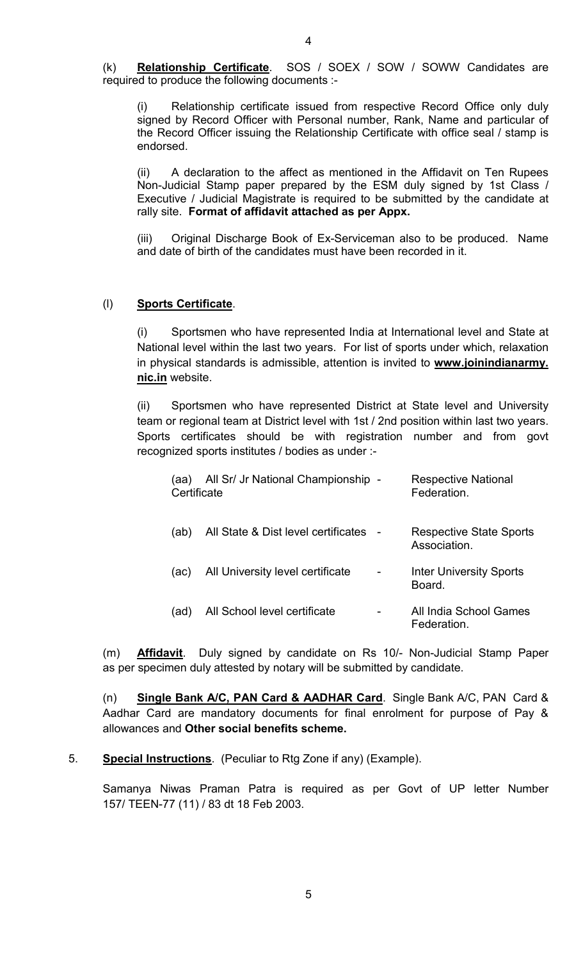Relationship certificate issued from respective Record Office only duly signed by Record Officer with Personal number, Rank, Name and particular of the Record Officer issuing the Relationship Certificate with office seal / stamp is endorsed.

(ii) A declaration to the affect as mentioned in the Affidavit on Ten Rupees Non-Judicial Stamp paper prepared by the ESM duly signed by 1st Class / Executive / Judicial Magistrate is required to be submitted by the candidate at rally site. **Format of affidavit attached as per Appx.**

(iii) Original Discharge Book of Ex-Serviceman also to be produced. Name and date of birth of the candidates must have been recorded in it.

#### (l) **Sports Certificate**.

(i) Sportsmen who have represented India at International level and State at National level within the last two years. For list of sports under which, relaxation in physical standards is admissible, attention is invited to **www.joinindianarmy. nic.in** website.

(ii) Sportsmen who have represented District at State level and University team or regional team at District level with 1st / 2nd position within last two years. Sports certificates should be with registration number and from govt recognized sports institutes / bodies as under :-

| aa)<br>Certificate | All Sr/ Jr National Championship -  | <b>Respective National</b><br>Federation.   |
|--------------------|-------------------------------------|---------------------------------------------|
| (ab)               | All State & Dist level certificates | Respective State Sports<br>Association.     |
| (ac)               | All University level certificate    | <b>Inter University Sports</b><br>Board     |
| (ad)               | All School level certificate        | All India School Games<br><b>Federation</b> |

(m) **Affidavit**. Duly signed by candidate on Rs 10/- Non-Judicial Stamp Paper as per specimen duly attested by notary will be submitted by candidate.

(n) **Single Bank A/C, PAN Card & AADHAR Card**. Single Bank A/C, PAN Card & Aadhar Card are mandatory documents for final enrolment for purpose of Pay & allowances and **Other social benefits scheme.**

5. **Special Instructions**. (Peculiar to Rtg Zone if any) (Example).

Samanya Niwas Praman Patra is required as per Govt of UP letter Number 157/ TEEN-77 (11) / 83 dt 18 Feb 2003.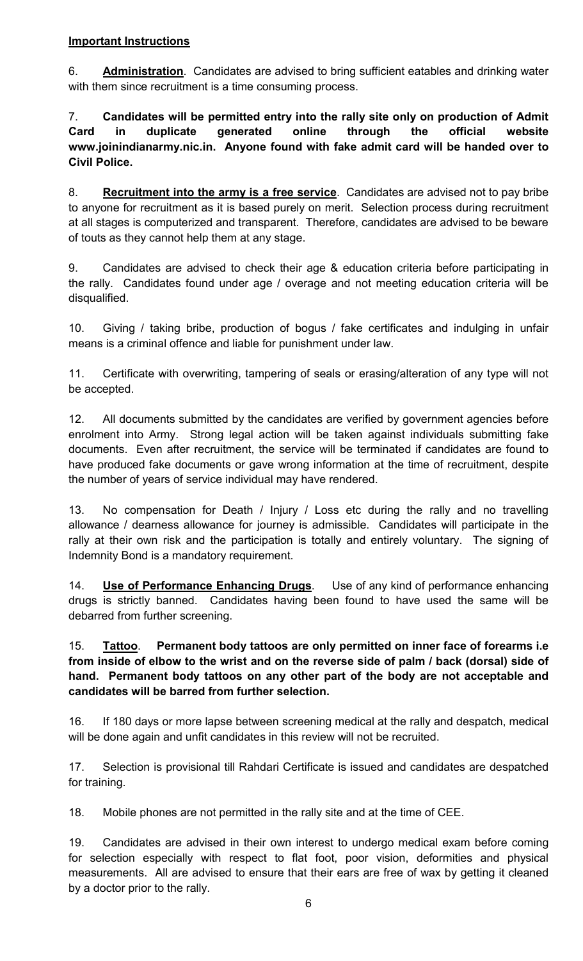### **Important Instructions**

6. **Administration**. Candidates are advised to bring sufficient eatables and drinking water with them since recruitment is a time consuming process.

7. **Candidates will be permitted entry into the rally site only on production of Admit Card in duplicate generated online through the official website www.joinindianarmy.nic.in. Anyone found with fake admit card will be handed over to Civil Police.**

8. **Recruitment into the army is a free service**. Candidates are advised not to pay bribe to anyone for recruitment as it is based purely on merit. Selection process during recruitment at all stages is computerized and transparent. Therefore, candidates are advised to be beware of touts as they cannot help them at any stage.

9. Candidates are advised to check their age & education criteria before participating in the rally. Candidates found under age / overage and not meeting education criteria will be disqualified.

10. Giving / taking bribe, production of bogus / fake certificates and indulging in unfair means is a criminal offence and liable for punishment under law.

11. Certificate with overwriting, tampering of seals or erasing/alteration of any type will not be accepted.

12. All documents submitted by the candidates are verified by government agencies before enrolment into Army. Strong legal action will be taken against individuals submitting fake documents. Even after recruitment, the service will be terminated if candidates are found to have produced fake documents or gave wrong information at the time of recruitment, despite the number of years of service individual may have rendered.

13. No compensation for Death / Injury / Loss etc during the rally and no travelling allowance / dearness allowance for journey is admissible. Candidates will participate in the rally at their own risk and the participation is totally and entirely voluntary. The signing of Indemnity Bond is a mandatory requirement.

14. **Use of Performance Enhancing Drugs**. Use of any kind of performance enhancing drugs is strictly banned. Candidates having been found to have used the same will be debarred from further screening.

## 15. **Tattoo**. **Permanent body tattoos are only permitted on inner face of forearms i.e from inside of elbow to the wrist and on the reverse side of palm / back (dorsal) side of hand. Permanent body tattoos on any other part of the body are not acceptable and candidates will be barred from further selection.**

16. If 180 days or more lapse between screening medical at the rally and despatch, medical will be done again and unfit candidates in this review will not be recruited.

17. Selection is provisional till Rahdari Certificate is issued and candidates are despatched for training.

18. Mobile phones are not permitted in the rally site and at the time of CEE.

19. Candidates are advised in their own interest to undergo medical exam before coming for selection especially with respect to flat foot, poor vision, deformities and physical measurements. All are advised to ensure that their ears are free of wax by getting it cleaned by a doctor prior to the rally.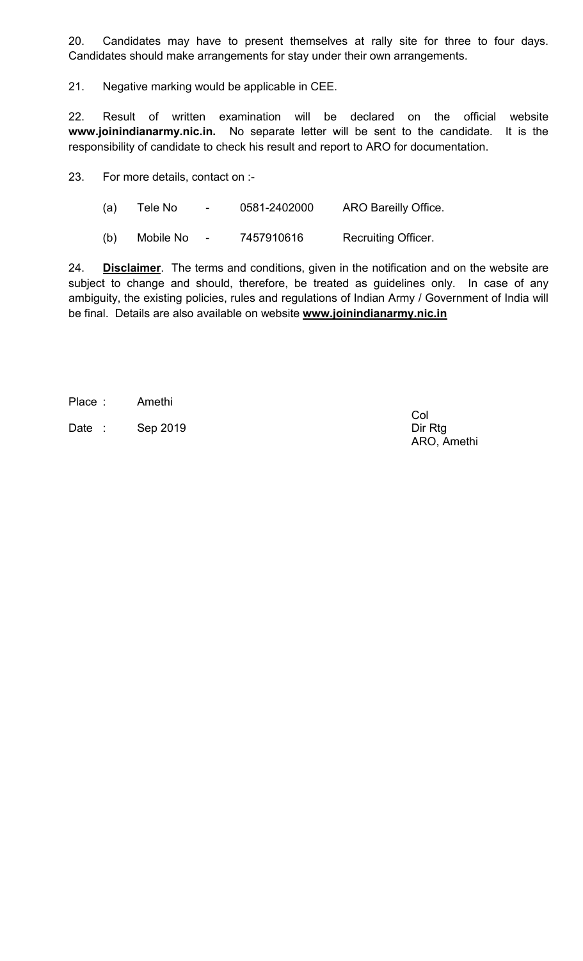20. Candidates may have to present themselves at rally site for three to four days. Candidates should make arrangements for stay under their own arrangements.

21. Negative marking would be applicable in CEE.

22. Result of written examination will be declared on the official website **www.joinindianarmy.nic.in.** No separate letter will be sent to the candidate. It is the responsibility of candidate to check his result and report to ARO for documentation.

23. For more details, contact on :-

(a) Tele No - 0581-2402000 ARO Bareilly Office.

(b) Mobile No - 7457910616 Recruiting Officer.

24. **Disclaimer**. The terms and conditions, given in the notification and on the website are subject to change and should, therefore, be treated as guidelines only. In case of any ambiguity, the existing policies, rules and regulations of Indian Army / Government of India will be final. Details are also available on website **www.joinindianarmy.nic.in**

Place : Amethi

Date : Sep 2019 Dir Rtg

Col ARO, Amethi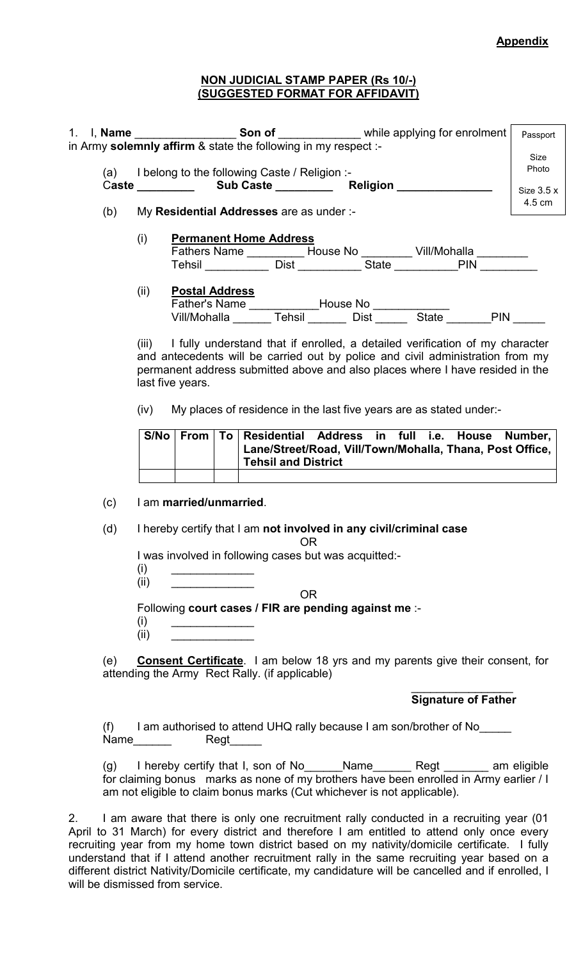#### **NON JUDICIAL STAMP PAPER (Rs 10/-) (SUGGESTED FORMAT FOR AFFIDAVIT)**

|     |                                                                                                                                                                                                                                                                           |                                              |                                                                                                                                                                                                                                                     |                            | Passport              |  |  |  |
|-----|---------------------------------------------------------------------------------------------------------------------------------------------------------------------------------------------------------------------------------------------------------------------------|----------------------------------------------|-----------------------------------------------------------------------------------------------------------------------------------------------------------------------------------------------------------------------------------------------------|----------------------------|-----------------------|--|--|--|
|     |                                                                                                                                                                                                                                                                           |                                              | (a) I belong to the following Caste / Religion :-                                                                                                                                                                                                   |                            | Size<br>Photo         |  |  |  |
| (b) |                                                                                                                                                                                                                                                                           |                                              | My Residential Addresses are as under :-                                                                                                                                                                                                            |                            | Size $3.5x$<br>4.5 cm |  |  |  |
|     | (i)                                                                                                                                                                                                                                                                       |                                              | <b>Permanent Home Address</b>                                                                                                                                                                                                                       |                            |                       |  |  |  |
|     | (ii)                                                                                                                                                                                                                                                                      | <b>Postal Address</b>                        |                                                                                                                                                                                                                                                     |                            |                       |  |  |  |
|     | (iii) I fully understand that if enrolled, a detailed verification of my character<br>and antecedents will be carried out by police and civil administration from my<br>permanent address submitted above and also places where I have resided in the<br>last five years. |                                              |                                                                                                                                                                                                                                                     |                            |                       |  |  |  |
|     | (iv)                                                                                                                                                                                                                                                                      |                                              | My places of residence in the last five years are as stated under:-                                                                                                                                                                                 |                            |                       |  |  |  |
|     | S/No                                                                                                                                                                                                                                                                      | <b>From</b>                                  | To Residential Address in full i.e. House Number,<br>Lane/Street/Road, Vill/Town/Mohalla, Thana, Post Office,<br><b>Tehsil and District</b>                                                                                                         |                            |                       |  |  |  |
| (c) |                                                                                                                                                                                                                                                                           | I am married/unmarried.                      |                                                                                                                                                                                                                                                     |                            |                       |  |  |  |
| (d) |                                                                                                                                                                                                                                                                           |                                              | I hereby certify that I am not involved in any civil/criminal case<br><b>OR</b>                                                                                                                                                                     |                            |                       |  |  |  |
|     | (i)                                                                                                                                                                                                                                                                       |                                              | I was involved in following cases but was acquitted:-                                                                                                                                                                                               |                            |                       |  |  |  |
|     | (ii)                                                                                                                                                                                                                                                                      | the control of the control of the control of | <b>OR</b>                                                                                                                                                                                                                                           |                            |                       |  |  |  |
|     | (i)<br>(ii)                                                                                                                                                                                                                                                               |                                              | Following court cases / FIR are pending against me :-                                                                                                                                                                                               |                            |                       |  |  |  |
| (e) |                                                                                                                                                                                                                                                                           |                                              | <b>Consent Certificate</b> . I am below 18 yrs and my parents give their consent, for<br>attending the Army Rect Rally. (if applicable)                                                                                                             |                            |                       |  |  |  |
|     |                                                                                                                                                                                                                                                                           |                                              |                                                                                                                                                                                                                                                     | <b>Signature of Father</b> |                       |  |  |  |
| (f) | Name $\_\_\_\_\_\_\$                                                                                                                                                                                                                                                      |                                              | I am authorised to attend UHQ rally because I am son/brother of No                                                                                                                                                                                  |                            |                       |  |  |  |
| (g) |                                                                                                                                                                                                                                                                           |                                              | I hereby certify that I, son of No______Name________ Regt ________ am eligible<br>for claiming bonus marks as none of my brothers have been enrolled in Army earlier / I<br>am not eligible to claim bonus marks (Cut whichever is not applicable). |                            |                       |  |  |  |

2. I am aware that there is only one recruitment rally conducted in a recruiting year (01 April to 31 March) for every district and therefore I am entitled to attend only once every recruiting year from my home town district based on my nativity/domicile certificate. I fully understand that if I attend another recruitment rally in the same recruiting year based on a different district Nativity/Domicile certificate, my candidature will be cancelled and if enrolled, I will be dismissed from service.